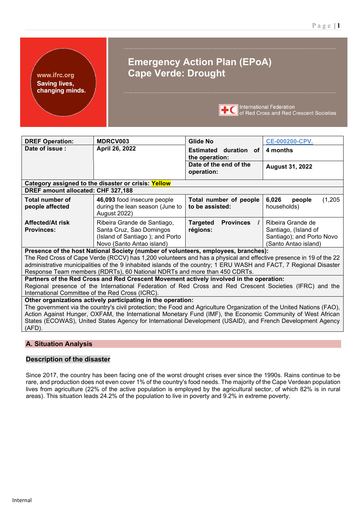www.ifrc.org **Saving lives,** changing minds.

# **Emergency Action Plan (EPoA) Cape Verde: Drought**



**TEC** International Federation<br> **TEC** of Red Cross and Red Crescent Societies

| <b>DREF Operation:</b>                           | <b>MDRCV003</b>                                                                                                                                                                                                                                                                                                                                                                                                    | Glide No                                                    | <b>CE-000200-CPV.</b>                                                                          |
|--------------------------------------------------|--------------------------------------------------------------------------------------------------------------------------------------------------------------------------------------------------------------------------------------------------------------------------------------------------------------------------------------------------------------------------------------------------------------------|-------------------------------------------------------------|------------------------------------------------------------------------------------------------|
| Date of issue:                                   | April 26, 2022                                                                                                                                                                                                                                                                                                                                                                                                     | Estimated duration of<br>the operation:                     | 4 months                                                                                       |
|                                                  |                                                                                                                                                                                                                                                                                                                                                                                                                    | Date of the end of the<br>operation:                        | <b>August 31, 2022</b>                                                                         |
|                                                  | Category assigned to the disaster or crisis: Yellow                                                                                                                                                                                                                                                                                                                                                                |                                                             |                                                                                                |
| DREF amount allocated: CHF 327,188               |                                                                                                                                                                                                                                                                                                                                                                                                                    |                                                             |                                                                                                |
| <b>Total number of</b><br>people affected        | 46,093 food insecure people<br>during the lean season (June to<br><b>August 2022)</b>                                                                                                                                                                                                                                                                                                                              | Total number of people<br>to be assisted:                   | 6,026<br>(1,205)<br>people<br>households)                                                      |
| <b>Affected/At risk</b><br><b>Provinces:</b>     | Ribeira Grande de Santiago,<br>Santa Cruz, Sao Domingos<br>(Island of Santiago); and Porto<br>Novo (Santo Antao island)                                                                                                                                                                                                                                                                                            | <b>Targeted</b><br><b>Provinces</b><br>$\prime$<br>régions: | Ribeira Grande de<br>Santiago, (Island of<br>Santiago); and Porto Novo<br>(Santo Antao island) |
|                                                  | Presence of the host National Society (number of volunteers, employees, branches):<br>The Red Cross of Cape Verde (RCCV) has 1,200 volunteers and has a physical and effective presence in 19 of the 22<br>administrative municipalities of the 9 inhabited islands of the country; 1 ERU WASH and FACT, 7 Regional Disaster<br>Response Team members (RDRTs), 60 National NDRTs and more than 450 CDRTs.          |                                                             |                                                                                                |
|                                                  | Partners of the Red Cross and Red Crescent Movement actively involved in the operation:                                                                                                                                                                                                                                                                                                                            |                                                             |                                                                                                |
|                                                  | Regional presence of the International Federation of Red Cross and Red Crescent Societies (IFRC) and the                                                                                                                                                                                                                                                                                                           |                                                             |                                                                                                |
| International Committee of the Red Cross (ICRC). |                                                                                                                                                                                                                                                                                                                                                                                                                    |                                                             |                                                                                                |
| (AFD).                                           | Other organizations actively participating in the operation:<br>The government via the country's civil protection; the Food and Agriculture Organization of the United Nations (FAO),<br>Action Against Hunger, OXFAM, the International Monetary Fund (IMF), the Economic Community of West African<br>States (ECOWAS), United States Agency for International Development (USAID), and French Development Agency |                                                             |                                                                                                |
|                                                  |                                                                                                                                                                                                                                                                                                                                                                                                                    |                                                             |                                                                                                |

### **A. Situation Analysis**

#### **Description of the disaster**

Since 2017, the country has been facing one of the worst drought crises ever since the 1990s. Rains continue to be rare, and production does not even cover 1% of the country's food needs. The majority of the Cape Verdean population lives from agriculture (22% of the active population is employed by the agricultural sector, of which 82% is in rural areas). This situation leads 24.2% of the population to live in poverty and 9.2% in extreme poverty.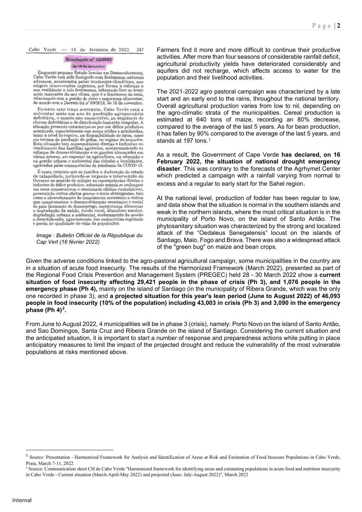Cabo Verde - 16 de fevereiro de 2022 247

#### Resolução nº 13/2022

#### de 16 de fevereiro

Enquanto pequeno Estado Insular em Desenvolvimento. Cabo Verde tem sido fustigado com fenómenos naturais adversos, acentuados pelas mudanças climáticas, que avezas, ucontados pelas mutanas cintadas en a reforçar a<br>su resiliência a tais fenómenos, sobretudo face ao traço<br>mais marcante do seu clima, que é o fenómeno da seca, relacionado com a gestão de risco e segurança alimentar,<br>de acordo com o Decreto-lei nº 59/2018, de 16 de novembro.

Perante este traço marcante, Cabo Verde está a enfrentar mais um ano de produção agropecuária<br>deficitária, o quarto ano consecutivo, na sequência de chuvas deficitárias e de distribuição bastante irregular. A situação presente caracteriza-se por um défice produtivo<br>acentuado, especialmente nas zonas áridas e semiáridas,<br>tanto a nível forrageiro, na disponibilidade de água, como em termos de produção de grãos, no regime de sequeiro.<br>Esta situação tem consequências diretas e indiretas no rendimento das famílias agrículas, comprometendo os<br>esforcos de desenvolvimento e os ganhos alcancados em vários setores, em especial na agricultura, na educação e na gestão urbana e ambiental das cidades e localidades agravadas pelas consequências da pandemia da COVID 19

 $\acute{\text{E}}$ neste contexto que se justifica a declaração do estado de calamidade, tornando-se urgente a intervenção do Coverno no sentido de mitigar as consequências diretas e indiretas do défice produtivo, sobretudo quando se prolongam em anos consecutivos e ocasionam efeitos cumulativos, prevenindo outros efeitos graves e mais abrangentes, tais<br>como o abrandamento do crescimento económico e outros que comprometem o desenvolvimento económico e social do país (aumento do desemprego, insegurança alimentar<br>e degradação da saúde, êxodo rural, abandono escolar, degradação urbana e ambiental, aceleramento da erosão e desertificação, agravamento das assimetrias regionais<br>e perda de qualidade de vida da população).

*Image : Bulletin Officiel de la République du Cap Vert (16 février 2022)*

Farmers find it more and more difficult to continue their productive activities. After more than four seasons of considerable rainfall deficit, agricultural productivity yields have deteriorated considerably and aquifers did not recharge, which affects access to water for the population and their livelihood activities.

The 2021-2022 agro pastoral campaign was characterized by a late start and an early end to the rains, throughout the national territory. Overall agricultural production varies from low to nil, depending on the agro-climatic strata of the municipalities. Cereal production is estimated at 640 tons of maize, recording an 80% decrease, compared to the average of the last 5 years. As for bean production, it has fallen by 90% compared to the average of the last 5 years, and stands at [1](#page-1-0)97 tons.<sup>1</sup>

As a result, the Government of Cape Verde **has declared, on 16 February 2022, the situation of national drought emergency disaster**. This was contrary to the forecasts of the Agrhymet Center which predicted a campaign with a rainfall varying from normal to excess and a regular to early start for the Sahel region.

At the national level, production of fodder has been regular to low, and data show that the situation is normal in the southern islands and weak in the northern islands, where the most critical situation is in the municipality of Porto Novo, on the island of Santo Antão. The phytosanitary situation was characterized by the strong and localized attack of the "Oedaleus Senegalensis" locust on the islands of Santiago, Maio, Fogo and Brava. There was also a widespread attack of the "green bug" on maize and bean crops.

Given the adverse conditions linked to the agro-pastoral agricultural campaign, some municipalities in the country are in a situation of acute food insecurity. The results of the Harmonized Framework (March 2022), presented as part of the Regional Food Crisis Prevention and Management System (PREGEC) held 28 - 30 March 2022 show a **current situation of food insecurity affecting 29,421 people in the phase of crisis (Ph 3), and 1,076 people in the emergency phase (Ph 4),** mainly on the island of Santiago (in the municipality of Ribera Grande, which was the only one recorded in phase 3), and **a projected situation for this year's lean period (June to August 2022) of 46,093 people in food insecurity (10% of the population) including 43,003 in crisis (Ph 3) and 3,090 in the emergency phase (Ph 4)[2](#page-1-1).**

From June to August 2022, 4 municipalities will be in phase 3 (crisis), namely: Porto Novo on the island of Santo Antão, and Sao Domingos, Santa Cruz and Ribeira Grande on the island of Santiago. Considering the current situation and the anticipated situation, it is important to start a number of response and preparedness actions while putting in place anticipatory measures to limit the impact of the projected drought and reduce the vulnerability of the most vulnerable populations at risks mentioned above.

<span id="page-1-0"></span><sup>&</sup>lt;sup>1</sup> Source: Presentation - Harmonized Framework for Analysis and Identification of Areas at Risk and Estimation of Food Insecure Populations in Cabo Verde, Praia, March 7-11, 2022

<span id="page-1-1"></span><sup>&</sup>lt;sup>2</sup> Source: Communication sheet CH de Cabo Verde "Harmonized framework for identifying areas and estimating populations in acute food and nutrition insecurity in Cabo Verde - Current situation (March-April-May 2022) and projected (June- July-August 2022)", March 2022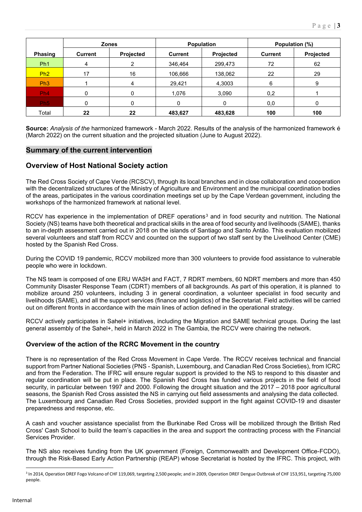|                 |                | <b>Zones</b> |                | <b>Population</b> |                | Population (%) |
|-----------------|----------------|--------------|----------------|-------------------|----------------|----------------|
| <b>Phasing</b>  | <b>Current</b> | Projected    | <b>Current</b> | Projected         | <b>Current</b> | Projected      |
| Ph <sub>1</sub> | 4              | າ            | 346,464        | 299,473           | 72             | 62             |
| Ph2             | 17             | 16           | 106,666        | 138,062           | 22             | 29             |
| Ph3             |                |              | 29,421         | 4,3003            | 6              | 9              |
| Ph <sub>4</sub> | 0              |              | 1,076          | 3,090             | 0,2            |                |
| Ph <sub>5</sub> | 0              |              | 0              |                   | 0,0            |                |
| Total           | 22             | 22           | 483,627        | 483,628           | 100            | 100            |

**Source:** *Analysis of the* harmonized framework - March 2022. Results of the analysis of the harmonized framework é (March 2022) on the current situation and the projected situation (June to August 2022).

### **Summary of the current intervention**

### **Overview of Host National Society action**

The Red Cross Society of Cape Verde (RCSCV), through its local branches and in close collaboration and cooperation with the decentralized structures of the Ministry of Agriculture and Environment and the municipal coordination bodies of the areas, participates in the various coordination meetings set up by the Cape Verdean government, including the workshops of the harmonized framework at national level.

RCCV has experience in the implementation of DREF operations<sup>[3](#page-2-0)</sup> and in food security and nutrition. The National Society (NS) teams have both theoretical and practical skills in the area of food security and livelihoods (SAME), thanks to an in-depth assessment carried out in 2018 on the islands of Santiago and Santo Antão. This evaluation mobilized several volunteers and staff from RCCV and counted on the support of two staff sent by the Livelihood Center (CME) hosted by the Spanish Red Cross.

During the COVID 19 pandemic, RCCV mobilized more than 300 volunteers to provide food assistance to vulnerable people who were in lockdown.

The NS team is composed of one ERU WASH and FACT, 7 RDRT members, 60 NDRT members and more than 450 Community Disaster Response Team (CDRT) members of all backgrounds. As part of this operation, it is planned to mobilize around 250 volunteers, including 3 in general coordination, a volunteer specialist in food security and livelihoods (SAME), and all the support services (finance and logistics) of the Secretariat. Field activities will be carried out on different fronts in accordance with the main lines of action defined in the operational strategy.

RCCV actively participates in Sahel+ initiatives, including the Migration and SAME technical groups. During the last general assembly of the Sahel+, held in March 2022 in The Gambia, the RCCV were chairing the network.

#### **Overview of the action of the RCRC Movement in the country**

There is no representation of the Red Cross Movement in Cape Verde. The RCCV receives technical and financial support from Partner National Societies (PNS - Spanish, Luxembourg, and Canadian Red Cross Societies), from ICRC and from the Federation. The IFRC will ensure regular support is provided to the NS to respond to this disaster and regular coordination will be put in place. The Spanish Red Cross has funded various projects in the field of food security, in particular between 1997 and 2000. Following the drought situation and the 2017 – 2018 poor agricultural seasons, the Spanish Red Cross assisted the NS in carrying out field assessments and analysing the data collected. The Luxembourg and Canadian Red Cross Societies, provided support in the fight against COVID-19 and disaster preparedness and response, etc.

A cash and voucher assistance specialist from the Burkinabe Red Cross will be mobilized through the British Red Cross' Cash School to build the team's capacities in the area and support the contracting process with the Financial Services Provider.

The NS also receives funding from the UK government (Foreign, Commonwealth and Development Office-FCDO), through the Risk-Based Early Action Partnership (REAP) whose Secretariat is hosted by the IFRC. This project, with

<span id="page-2-0"></span><sup>&</sup>lt;sup>3</sup> In 2014, Operation DREF Fogo Volcano of CHF 119,069, targeting 2,500 people; and in 2009, Operation DREF Dengue Outbreak of CHF 153,951, targeting 75,000 people.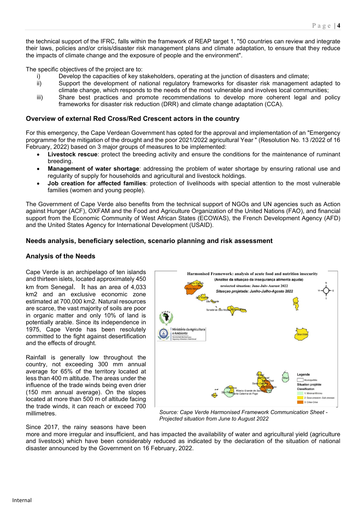the technical support of the IFRC, falls within the framework of REAP target 1, "50 countries can review and integrate their laws, policies and/or crisis/disaster risk management plans and climate adaptation, to ensure that they reduce the impacts of climate change and the exposure of people and the environment".

The specific objectives of the project are to:

- i) Develop the capacities of key stakeholders, operating at the junction of disasters and climate;
- ii) Support the development of national regulatory frameworks for disaster risk management adapted to climate change, which responds to the needs of the most vulnerable and involves local communities;
- iii) Share best practices and promote recommendations to develop more coherent legal and policy frameworks for disaster risk reduction (DRR) and climate change adaptation (CCA).

#### **Overview of external Red Cross/Red Crescent actors in the country**

For this emergency, the Cape Verdean Government has opted for the approval and implementation of an "Emergency programme for the mitigation of the drought and the poor 2021/2022 agricultural Year " (Resolution No. 13 /2022 of 16 February, 2022) based on 3 major groups of measures to be implemented:

- **Livestock rescue**: protect the breeding activity and ensure the conditions for the maintenance of ruminant breeding.
- **Management of water shortage**: addressing the problem of water shortage by ensuring rational use and regularity of supply for households and agricultural and livestock holdings.
- **Job creation for affected families**: protection of livelihoods with special attention to the most vulnerable families (women and young people).

The Government of Cape Verde also benefits from the technical support of NGOs and UN agencies such as Action against Hunger (ACF), OXFAM and the Food and Agriculture Organization of the United Nations (FAO), and financial support from the Economic Community of West African States (ECOWAS), the French Development Agency (AFD) and the United States Agency for International Development (USAID).

#### **Needs analysis, beneficiary selection, scenario planning and risk assessment**

#### **Analysis of the Needs**

Cape Verde is an archipelago of ten islands and thirteen islets, located approximately 450 km from Senegal. It has an area of 4,033 km2 and an exclusive economic zone estimated at 700,000 km2. Natural resources are scarce, the vast majority of soils are poor in organic matter and only 10% of land is potentially arable. Since its independence in 1975, Cape Verde has been resolutely committed to the fight against desertification and the effects of drought.

Rainfall is generally low throughout the country, not exceeding 300 mm annual average for 65% of the territory located at less than 400 m altitude. The areas under the influence of the trade winds being even drier (150 mm annual average). On the slopes located at more than 500 m of altitude facing the trade winds, it can reach or exceed 700 millimetres.



*Source: Cape Verde Harmonised Framework Communication Sheet - Projected situation from June to August 2022*

Since 2017, the rainy seasons have been

more and more irregular and insufficient, and has impacted the availability of water and agricultural yield (agriculture and livestock) which have been considerably reduced as indicated by the declaration of the situation of national disaster announced by the Government on 16 February, 2022.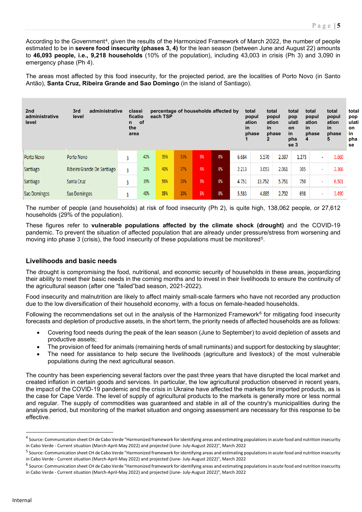According to the Government<sup>[4](#page-4-0)</sup>, given the results of the Harmonized Framework of March 2022, the number of people estimated to be in **severe food insecurity (phases 3, 4)** for the lean season (between June and August 22) amounts to **46,093 people, i.e., 9,218 households** (10% of the population), including 43,003 in crisis (Ph 3) and 3,090 in emergency phase (Ph 4).

The areas most affected by this food insecurity, for the projected period, are the localities of Porto Novo (in Santo Antão), **Santa Cruz, Ribeira Grande and Sao Domingo** (in the island of Santiago).

| 2nd<br>administrative<br>level | 3rd<br>administrative<br>level |   | classi<br>ficatio<br>of<br>n.<br>the<br>area | each TSP |     |    | percentage of households affected by | <i>in</i> | total<br>popul<br>ation<br>in<br>phase<br>2 | total<br>popul<br>ation<br>phase | total<br>pop<br>ulati<br>in<br>on<br>in<br>pha<br>4<br>se 3 | total<br>popul<br>ation<br>phase | total<br>popul<br>ation<br>in.<br>phase<br>5 | total<br>pop<br>ulati<br>on<br>in<br>pha<br>se |
|--------------------------------|--------------------------------|---|----------------------------------------------|----------|-----|----|--------------------------------------|-----------|---------------------------------------------|----------------------------------|-------------------------------------------------------------|----------------------------------|----------------------------------------------|------------------------------------------------|
| Porto Novo                     | Porto Novo                     | 3 | 42%                                          | 35%      | 15% | 8% | 0%                                   | 6.684     | 5.570                                       | 2.387                            | 1.273                                                       | ٠                                | 3.660                                        |                                                |
| Santiago                       | Ribeira Grande De Santiago     | 3 | 29%                                          | 40%      | 27% | 4% | 0%                                   | 2.213     | 3.053                                       | 2.061                            | 305                                                         | $\blacksquare$                   | 2.366                                        |                                                |
| Santiago                       | Santa Cruz                     | 3 | 19%                                          | 55%      | 23% | 3% | 0%                                   | 4.751     | 13.752                                      | 5.751                            | 750                                                         | ٠                                | 6.501                                        |                                                |
| Sao Domingos                   | Sao Domingos                   | 3 | 40%                                          | 35%      | 20% | 5% | 0%                                   | 5.583     | 4.885                                       | 2.792                            | 698                                                         | ٠                                | 3,490                                        |                                                |

The number of people (and households) at risk of food insecurity (Ph 2), is quite high, 138,062 people, or 27,612 households (29% of the population).

These figures refer to **vulnerable populations affected by the climate shock (drought)** and the COVID-19 pandemic. To prevent the situation of affected population that are already under pressure/stress from worsening and moving into phase 3 (crisis), the food insecurity of these populations must be monitored[5.](#page-4-1)

#### **Livelihoods and basic needs**

The drought is compromising the food, nutritional, and economic security of households in these areas, jeopardizing their ability to meet their basic needs in the coming months and to invest in their livelihoods to ensure the continuity of the agricultural season (after one "failed"bad season, 2021-2022).

Food insecurity and malnutrition are likely to affect mainly small-scale farmers who have not recorded any production due to the low diversification of their household economy, with a focus on female-headed households.

Following the recommendations set out in the analysis of the Harmonized Framework<sup>[6](#page-4-2)</sup> for mitigating food insecurity forecasts and depletion of productive assets, in the short term, the priority needs of affected households are as follows:

- Covering food needs during the peak of the lean season (June to September) to avoid depletion of assets and productive assets;
- The provision of feed for animals (remaining herds of small ruminants) and support for destocking by slaughter;
- The need for assistance to help secure the livelihoods (agriculture and livestock) of the most vulnerable populations during the next agricultural season.

The country has been experiencing several factors over the past three years that have disrupted the local market and created inflation in certain goods and services. In particular, the low agricultural production observed in recent years, the impact of the COVID-19 pandemic and the crisis in Ukraine have affected the markets for imported products, as is the case for Cape Verde. The level of supply of agricultural products to the markets is generally more or less normal and regular. The supply of commodities was guaranteed and stable in all of the country's municipalities during the analysis period, but monitoring of the market situation and ongoing assessment are necessary for this response to be effective.

<span id="page-4-0"></span><sup>&</sup>lt;sup>4</sup> Source: Communication sheet CH de Cabo Verde "Harmonized framework for identifying areas and estimating populations in acute food and nutrition insecurity in Cabo Verde - Current situation (March-April-May 2022) and projected (June- July-August 2022)", March 2022

<span id="page-4-1"></span><sup>&</sup>lt;sup>5</sup> Source: Communication sheet CH de Cabo Verde "Harmonized framework for identifying areas and estimating populations in acute food and nutrition insecurity in Cabo Verde - Current situation (March-April-May 2022) and projected (June- July-August 2022)", March 2022

<span id="page-4-2"></span><sup>&</sup>lt;sup>6</sup> Source: Communication sheet CH de Cabo Verde "Harmonized framework for identifying areas and estimating populations in acute food and nutrition insecurity in Cabo Verde - Current situation (March-April-May 2022) and projected (June- July-August 2022)", March 2022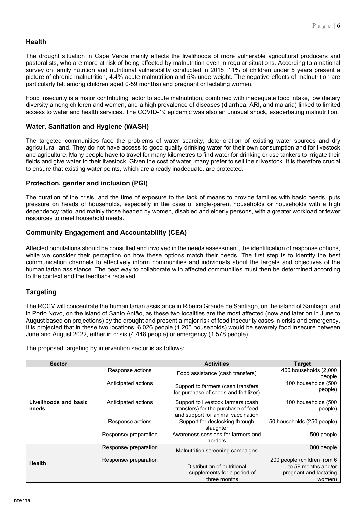### **Health**

The drought situation in Cape Verde mainly affects the livelihoods of more vulnerable agricultural producers and pastoralists, who are more at risk of being affected by malnutrition even in regular situations. According to a national survey on family nutrition and nutritional vulnerability conducted in 2018, 11% of children under 5 years present a picture of chronic malnutrition, 4.4% acute malnutrition and 5% underweight. The negative effects of malnutrition are particularly felt among children aged 0-59 months) and pregnant or lactating women.

Food insecurity is a major contributing factor to acute malnutrition, combined with inadequate food intake, low dietary diversity among children and women, and a high prevalence of diseases (diarrhea, ARI, and malaria) linked to limited access to water and health services. The COVID-19 epidemic was also an unusual shock, exacerbating malnutrition.

### **Water, Sanitation and Hygiene (WASH)**

The targeted communities face the problems of water scarcity, deterioration of existing water sources and dry agricultural land. They do not have access to good quality drinking water for their own consumption and for livestock and agriculture. Many people have to travel for many kilometres to find water for drinking or use tankers to irrigate their fields and give water to their livestock. Given the cost of water, many prefer to sell their livestock. It is therefore crucial to ensure that existing water points, which are already inadequate, are protected.

### **Protection, gender and inclusion (PGI)**

The duration of the crisis, and the time of exposure to the lack of means to provide families with basic needs, puts pressure on heads of households, especially in the case of single-parent households or households with a high dependency ratio, and mainly those headed by women, disabled and elderly persons, with a greater workload or fewer resources to meet household needs.

### **Community Engagement and Accountability (CEA)**

Affected populations should be consulted and involved in the needs assessment, the identification of response options, while we consider their perception on how these options match their needs. The first step is to identify the best communication channels to effectively inform communities and individuals about the targets and objectives of the humanitarian assistance. The best way to collaborate with affected communities must then be determined according to the context and the feedback received.

### **Targeting**

The RCCV will concentrate the humanitarian assistance in Ribeira Grande de Santiago, on the island of Santiago, and in Porto Novo, on the island of Santo Antão, as these two localities are the most affected (now and later on in June to August based on projections) by the drought and present a major risk of food insecurity cases in crisis and emergency. It is projected that in these two locations, 6,026 people (1,205 households) would be severely food insecure between June and August 2022, either in crisis (4,448 people) or emergency (1,578 people).

The proposed targeting by intervention sector is as follows:

| <b>Sector</b>                  |                                                                                                               | <b>Activities</b>                                                                                               | <b>Target</b>                                                                          |
|--------------------------------|---------------------------------------------------------------------------------------------------------------|-----------------------------------------------------------------------------------------------------------------|----------------------------------------------------------------------------------------|
|                                | Response actions                                                                                              | Food assistance (cash transfers)                                                                                | 400 households (2,000<br>people                                                        |
|                                | Anticipated actions                                                                                           | Support to farmers (cash transfers<br>for purchase of seeds and fertilizer)                                     | 100 households (500<br>people)                                                         |
| Livelihoods and basic<br>needs | Anticipated actions                                                                                           | Support to livestock farmers (cash<br>transfers) for the purchase of feed<br>and support for animal vaccination | 100 households (500<br>people)                                                         |
|                                | Response actions                                                                                              | Support for destocking through<br>slaughter                                                                     | 50 households (250 people)                                                             |
|                                | Awareness sessions for farmers and<br>Response/ preparation<br>Response/ preparation<br>Response/ preparation |                                                                                                                 | 500 people                                                                             |
|                                |                                                                                                               | Malnutrition screening campaigns                                                                                | 1,000 people                                                                           |
| <b>Health</b>                  |                                                                                                               | Distribution of nutritional<br>supplements for a period of<br>three months                                      | 200 people (children from 6<br>to 59 months and/or<br>pregnant and lactating<br>women) |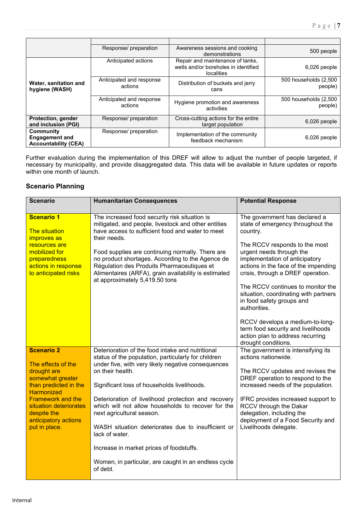|                                                                   | Response/ preparation               | Awareness sessions and cooking<br>demonstrations                                              | 500 people                       |
|-------------------------------------------------------------------|-------------------------------------|-----------------------------------------------------------------------------------------------|----------------------------------|
|                                                                   | Anticipated actions                 | Repair and maintenance of tanks,<br>wells and/or boreholes in identified<br><b>localities</b> | 6,026 people                     |
| Water, sanitation and<br>hygiene (WASH)                           | Anticipated and response<br>actions | Distribution of buckets and jerry<br>cans                                                     | 500 households (2,500<br>people) |
|                                                                   | Anticipated and response<br>actions | Hygiene promotion and awareness<br>activities                                                 | 500 households (2,500<br>people) |
| Protection, gender<br>and inclusion (PGI)                         | Response/ preparation               | Cross-cutting actions for the entire<br>target population                                     | $6,026$ people                   |
| Community<br><b>Engagement and</b><br><b>Accountability (CEA)</b> | Response/ preparation               | Implementation of the community<br>feedback mechanism                                         | $6,026$ people                   |

Further evaluation during the implementation of this DREF will allow to adjust the number of people targeted, if necessary by municipality, and provide disaggregated data. This data will be available in future updates or reports within one month of launch.

### **Scenario Planning**

| <b>Scenario</b>                                                                                                                                                                                                                        | <b>Humanitarian Consequences</b>                                                                                                                                                                                                                                                                                                                                                                                                                                                                                                                                   | <b>Potential Response</b>                                                                                                                                                                                                                                                                                                                                                             |
|----------------------------------------------------------------------------------------------------------------------------------------------------------------------------------------------------------------------------------------|--------------------------------------------------------------------------------------------------------------------------------------------------------------------------------------------------------------------------------------------------------------------------------------------------------------------------------------------------------------------------------------------------------------------------------------------------------------------------------------------------------------------------------------------------------------------|---------------------------------------------------------------------------------------------------------------------------------------------------------------------------------------------------------------------------------------------------------------------------------------------------------------------------------------------------------------------------------------|
| <b>Scenario 1</b><br><b>The situation</b><br><i>improves</i> as<br>resources are<br>mobilized for<br>preparedness<br>actions in response<br>to anticipated risks                                                                       | The increased food security risk situation is<br>mitigated, and people, livestock and other entities<br>have access to sufficient food and water to meet<br>their needs.<br>Food supplies are continuing normally. There are<br>no product shortages. According to the Agence de<br>Régulation des Produits Pharmaceutiques et<br>Alimentaires (ARFA), grain availability is estimated<br>at approximately 5,419.50 tons                                                                                                                                           | The government has declared a<br>state of emergency throughout the<br>country.<br>The RCCV responds to the most<br>urgent needs through the<br>implementation of anticipatory<br>actions in the face of the impending<br>crisis, through a DREF operation.<br>The RCCV continues to monitor the<br>situation, coordinating with partners<br>in food safety groups and<br>authorities. |
|                                                                                                                                                                                                                                        |                                                                                                                                                                                                                                                                                                                                                                                                                                                                                                                                                                    | RCCV develops a medium-to-long-<br>term food security and livelihoods<br>action plan to address recurring<br>drought conditions.                                                                                                                                                                                                                                                      |
| <b>Scenario 2</b><br>The effects of the<br>drought are<br>somewhat greater<br>than predicted in the<br><b>Harmonized</b><br><b>Framework and the</b><br>situation deteriorates<br>despite the<br>anticipatory actions<br>put in place. | Deterioration of the food intake and nutritional<br>status of the population, particularly for children<br>under five, with very likely negative consequences<br>on their health.<br>Significant loss of households livelihoods.<br>Deterioration of livelihood protection and recovery<br>which will not allow households to recover for the<br>next agricultural season.<br>WASH situation deteriorates due to insufficient or<br>lack of water.<br>Increase in market prices of foodstuffs.<br>Women, in particular, are caught in an endless cycle<br>of debt. | The government is intensifying its<br>actions nationwide.<br>The RCCV updates and revises the<br>DREF operation to respond to the<br>increased needs of the population.<br>IFRC provides increased support to<br>RCCV through the Dakar<br>delegation, including the<br>deployment of a Food Security and<br>Livelihoods delegate.                                                    |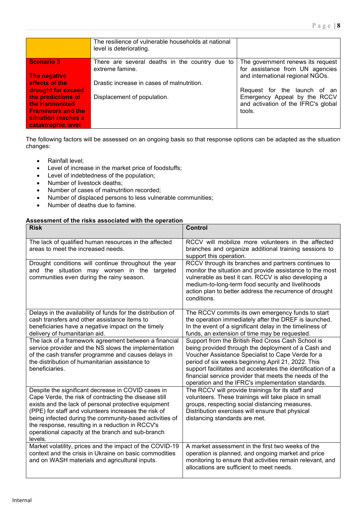|                                                                                                                                     | The resilience of vulnerable households at national<br>level is deteriorating.                                  |                                                                                                               |
|-------------------------------------------------------------------------------------------------------------------------------------|-----------------------------------------------------------------------------------------------------------------|---------------------------------------------------------------------------------------------------------------|
| <b>Scenario 3</b><br>The negative<br>effects of the                                                                                 | There are several deaths in the country due to<br>extreme famine.<br>Drastic increase in cases of malnutrition. | The government renews its request<br>for assistance from UN agencies<br>and international regional NGOs.      |
| drought far exceed<br>the predictions of<br>the Harmonized<br><b>Framework and the</b><br>situation reaches a<br>catastrophic level | Displacement of population.                                                                                     | Request for the launch of an<br>Emergency Appeal by the RCCV<br>and activation of the IFRC's global<br>tools. |

The following factors will be assessed on an ongoing basis so that response options can be adapted as the situation changes:

- Rainfall level;
- Level of increase in the market price of foodstuffs;
- Level of indebtedness of the population;
- Number of livestock deaths;<br>• Number of cases of malnutri
- Number of cases of malnutrition recorded;<br>• Number of displaced persons to less vulne
- Number of displaced persons to less vulnerable communities;
- Number of deaths due to famine.

#### **Assessment of the risks associated with the operation**

| <b>Risk</b>                                                                                                                                                                                                                                                                                                                                                                                                | <b>Control</b>                                                                                                                                                                                                                                                                                                                                                                                     |
|------------------------------------------------------------------------------------------------------------------------------------------------------------------------------------------------------------------------------------------------------------------------------------------------------------------------------------------------------------------------------------------------------------|----------------------------------------------------------------------------------------------------------------------------------------------------------------------------------------------------------------------------------------------------------------------------------------------------------------------------------------------------------------------------------------------------|
| The lack of qualified human resources in the affected<br>areas to meet the increased needs.                                                                                                                                                                                                                                                                                                                | RCCV will mobilize more volunteers in the affected<br>branches and organize additional training sessions to<br>support this operation.                                                                                                                                                                                                                                                             |
| Drought conditions will continue throughout the year<br>and the situation may worsen in the<br>targeted<br>communities even during the rainy season.                                                                                                                                                                                                                                                       | RCCV through its branches and partners continues to<br>monitor the situation and provide assistance to the most<br>vulnerable as best it can. RCCV is also developing a<br>medium-to-long-term food security and livelihoods<br>action plan to better address the recurrence of drought<br>conditions.                                                                                             |
| Delays in the availability of funds for the distribution of<br>cash transfers and other assistance items to<br>beneficiaries have a negative impact on the timely<br>delivery of humanitarian aid.                                                                                                                                                                                                         | The RCCV commits its own emergency funds to start<br>the operation immediately after the DREF is launched.<br>In the event of a significant delay in the timeliness of<br>funds, an extension of time may be requested.                                                                                                                                                                            |
| The lack of a framework agreement between a financial<br>service provider and the NS slows the implementation<br>of the cash transfer programme and causes delays in<br>the distribution of humanitarian assistance to<br>beneficiaries.                                                                                                                                                                   | Support from the British Red Cross Cash School is<br>being provided through the deployment of a Cash and<br>Voucher Assistance Specialist to Cape Verde for a<br>period of six weeks beginning April 21, 2022. This<br>support facilitates and accelerates the identification of a<br>financial service provider that meets the needs of the<br>operation and the IFRC's implementation standards. |
| Despite the significant decrease in COVID cases in<br>Cape Verde, the risk of contracting the disease still<br>exists and the lack of personal protective equipment<br>(PPE) for staff and volunteers increases the risk of<br>being infected during the community-based activities of<br>the response, resulting in a reduction in RCCV's<br>operational capacity at the branch and sub-branch<br>levels. | The RCCV will provide trainings for its staff and<br>volunteers. These trainings will take place in small<br>groups, respecting social distancing measures.<br>Distribution exercises will ensure that physical<br>distancing standards are met.                                                                                                                                                   |
| Market volatility, prices and the impact of the COVID-19<br>context and the crisis in Ukraine on basic commodities<br>and on WASH materials and agricultural inputs.                                                                                                                                                                                                                                       | A market assessment in the first two weeks of the<br>operation is planned, and ongoing market and price<br>monitoring to ensure that activities remain relevant, and<br>allocations are sufficient to meet needs.                                                                                                                                                                                  |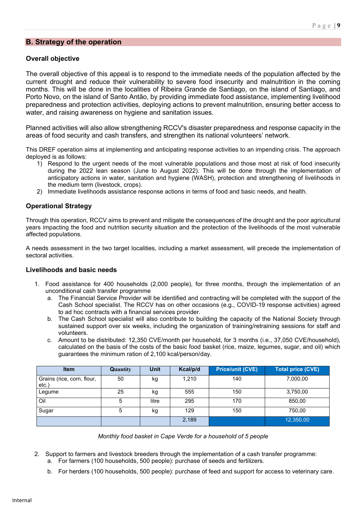#### **B. Strategy of the operation**

#### **Overall objective**

The overall objective of this appeal is to respond to the immediate needs of the population affected by the current drought and reduce their vulnerability to severe food insecurity and malnutrition in the coming months. This will be done in the localities of Ribeira Grande de Santiago, on the island of Santiago, and Porto Novo, on the island of Santo Antão, by providing immediate food assistance, implementing livelihood preparedness and protection activities, deploying actions to prevent malnutrition, ensuring better access to water, and raising awareness on hygiene and sanitation issues.

Planned activities will also allow strengthening RCCV's disaster preparedness and response capacity in the areas of food security and cash transfers, and strengthen its national volunteers' network.

This DREF operation aims at implementing and anticipating response activities to an impending crisis. The approach deployed is as follows:

- 1) Respond to the urgent needs of the most vulnerable populations and those most at risk of food insecurity during the 2022 lean season (June to August 2022). This will be done through the implementation of anticipatory actions in water, sanitation and hygiene (WASH), protection and strengthening of livelihoods in the medium term (livestock, crops).
- 2) Immediate livelihoods assistance response actions in terms of food and basic needs, and health.

#### **Operational Strategy**

Through this operation, RCCV aims to prevent and mitigate the consequences of the drought and the poor agricultural years impacting the food and nutrition security situation and the protection of the livelihoods of the most vulnerable affected populations.

A needs assessment in the two target localities, including a market assessment, will precede the implementation of sectoral activities.

#### **Livelihoods and basic needs**

- 1. Food assistance for 400 households (2,000 people), for three months, through the implementation of an unconditional cash transfer programme
	- a. The Financial Service Provider will be identified and contracting will be completed with the support of the Cash School specialist. The RCCV has on other occasions (e.g., COVID-19 response activities) agreed to ad hoc contracts with a financial services provider.
	- b. The Cash School specialist will also contribute to building the capacity of the National Society through sustained support over six weeks, including the organization of training/retraining sessions for staff and volunteers.
	- c. Amount to be distributed: 12,350 CVE/month per household, for 3 months (i.e., 37,050 CVE/household), calculated on the basis of the costs of the basic food basket (rice, maize, legumes, sugar, and oil) which guarantees the minimum ration of 2,100 kcal/person/day.

| <b>Item</b>                         | Quantity | <b>Unit</b> | Kcal/p/d | <b>Price/unit (CVE)</b> | <b>Total price (CVE)</b> |
|-------------------------------------|----------|-------------|----------|-------------------------|--------------------------|
| Grains (rice, corn, flour,<br>etc.) | 50       | kg          | 1,210    | 140                     | 7,000,00                 |
| Legume                              | 25       | kg          | 555      | 150                     | 3,750,00                 |
| Oil                                 | 5        | litre       | 295      | 170                     | 850,00                   |
| Sugar                               | 5        | kg          | 129      | 150                     | 750,00                   |
|                                     |          |             | 2,189    |                         | 12,350,00                |

*Monthly food basket in Cape Verde for a household of 5 people*

- 2. Support to farmers and livestock breeders through the implementation of a cash transfer programme:
	- a. For farmers (100 households, 500 people): purchase of seeds and fertilizers.
	- b. For herders (100 households, 500 people): purchase of feed and support for access to veterinary care.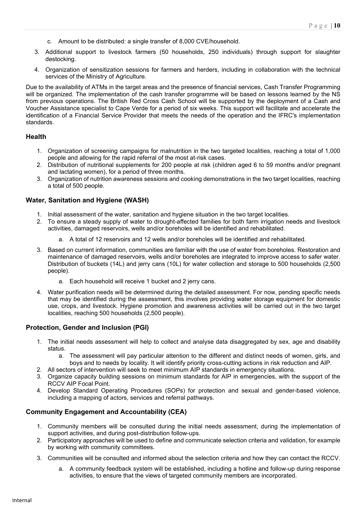- c. Amount to be distributed: a single transfer of 8,000 CVE/household.
- 3. Additional support to livestock farmers (50 households, 250 individuals) through support for slaughter destocking.
- 4. Organization of sensitization sessions for farmers and herders, including in collaboration with the technical services of the Ministry of Agriculture.

Due to the availability of ATMs in the target areas and the presence of financial services, Cash Transfer Programming will be organized. The implementation of the cash transfer programme will be based on lessons learned by the NS from previous operations. The British Red Cross Cash School will be supported by the deployment of a Cash and Voucher Assistance specialist to Cape Verde for a period of six weeks. This support will facilitate and accelerate the identification of a Financial Service Provider that meets the needs of the operation and the IFRC's implementation standards.

#### **Health**

- 1. Organization of screening campaigns for malnutrition in the two targeted localities, reaching a total of 1,000 people and allowing for the rapid referral of the most at-risk cases.
- 2. Distribution of nutritional supplements for 200 people at risk (children aged 6 to 59 months and/or pregnant and lactating women), for a period of three months.
- 3. Organization of nutrition awareness sessions and cooking demonstrations in the two target localities, reaching a total of 500 people.

#### **Water, Sanitation and Hygiene (WASH)**

- 1. Initial assessment of the water, sanitation and hygiene situation in the two target localities.
- 2. To ensure a steady supply of water to drought-affected families for both farm irrigation needs and livestock activities, damaged reservoirs, wells and/or boreholes will be identified and rehabilitated.
	- a. A total of 12 reservoirs and 12 wells and/or boreholes will be identified and rehabilitated.
- 3. Based on current information, communities are familiar with the use of water from boreholes. Restoration and maintenance of damaged reservoirs, wells and/or boreholes are integrated to improve access to safer water. Distribution of buckets (14L) and jerry cans (10L) for water collection and storage to 500 households (2,500 people).
	- a. Each household will receive 1 bucket and 2 jerry cans.
- 4. Water purification needs will be determined during the detailed assessment. For now, pending specific needs that may be identified during the assessment, this involves providing water storage equipment for domestic use, crops, and livestock. Hygiene promotion and awareness activities will be carried out in the two target localities, reaching 500 households (2,500 people).

#### **Protection, Gender and Inclusion (PGI)**

- 1. The initial needs assessment will help to collect and analyse data disaggregated by sex, age and disability status.
	- a. The assessment will pay particular attention to the different and distinct needs of women, girls, and boys and to needs by locality. It will identify priority cross-cutting actions in risk reduction and AIP.
- 2. All sectors of intervention will seek to meet minimum AIP standards in emergency situations.
- 3. Organize capacity building sessions on minimum standards for AIP in emergencies, with the support of the RCCV AIP Focal Point.
- 4. Develop Standard Operating Procedures (SOPs) for protection and sexual and gender-based violence, including a mapping of actors, services and referral pathways.

#### **Community Engagement and Accountability (CEA)**

- 1. Community members will be consulted during the initial needs assessment, during the implementation of support activities, and during post-distribution follow-ups.
- 2. Participatory approaches will be used to define and communicate selection criteria and validation, for example by working with community committees.
- 3. Communities will be consulted and informed about the selection criteria and how they can contact the RCCV.
	- a. A community feedback system will be established, including a hotline and follow-up during response activities, to ensure that the views of targeted community members are incorporated.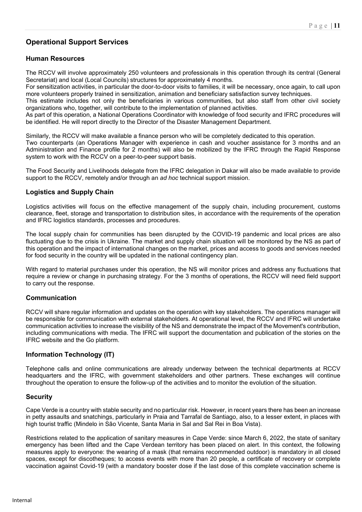## **Operational Support Services**

### **Human Resources**

The RCCV will involve approximately 250 volunteers and professionals in this operation through its central (General Secretariat) and local (Local Councils) structures for approximately 4 months.

For sensitization activities, in particular the door-to-door visits to families, it will be necessary, once again, to call upon more volunteers properly trained in sensitization, animation and beneficiary satisfaction survey techniques.

This estimate includes not only the beneficiaries in various communities, but also staff from other civil society organizations who, together, will contribute to the implementation of planned activities.

As part of this operation, a National Operations Coordinator with knowledge of food security and IFRC procedures will be identified. He will report directly to the Director of the Disaster Management Department.

Similarly, the RCCV will make available a finance person who will be completely dedicated to this operation. Two counterparts (an Operations Manager with experience in cash and voucher assistance for 3 months and an Administration and Finance profile for 2 months) will also be mobilized by the IFRC through the Rapid Response system to work with the RCCV on a peer-to-peer support basis.

The Food Security and Livelihoods delegate from the IFRC delegation in Dakar will also be made available to provide support to the RCCV, remotely and/or through an *ad hoc* technical support mission.

### **Logistics and Supply Chain**

Logistics activities will focus on the effective management of the supply chain, including procurement, customs clearance, fleet, storage and transportation to distribution sites, in accordance with the requirements of the operation and IFRC logistics standards, processes and procedures.

The local supply chain for communities has been disrupted by the COVID-19 pandemic and local prices are also fluctuating due to the crisis in Ukraine. The market and supply chain situation will be monitored by the NS as part of this operation and the impact of international changes on the market, prices and access to goods and services needed for food security in the country will be updated in the national contingency plan.

With regard to material purchases under this operation, the NS will monitor prices and address any fluctuations that require a review or change in purchasing strategy. For the 3 months of operations, the RCCV will need field support to carry out the response.

### **Communication**

RCCV will share regular information and updates on the operation with key stakeholders. The operations manager will be responsible for communication with external stakeholders. At operational level, the RCCV and IFRC will undertake communication activities to increase the visibility of the NS and demonstrate the impact of the Movement's contribution, including communications with media. The IFRC will support the documentation and publication of the stories on the IFRC website and the Go platform.

### **Information Technology (IT)**

Telephone calls and online communications are already underway between the technical departments at RCCV headquarters and the IFRC, with government stakeholders and other partners. These exchanges will continue throughout the operation to ensure the follow-up of the activities and to monitor the evolution of the situation.

### **Security**

Cape Verde is a country with stable security and no particular risk. However, in recent years there has been an increase in petty assaults and snatchings, particularly in Praia and Tarrafal de Santiago, also, to a lesser extent, in places with high tourist traffic (Mindelo in São Vicente, Santa Maria in Sal and Sal Rei in Boa Vista).

Restrictions related to the application of sanitary measures in Cape Verde: since March 6, 2022, the state of sanitary emergency has been lifted and the Cape Verdean territory has been placed on alert. In this context, the following measures apply to everyone: the wearing of a mask (that remains recommended outdoor) is mandatory in all closed spaces, except for discotheques; to access events with more than 20 people, a certificate of recovery or complete vaccination against Covid-19 (with a mandatory booster dose if the last dose of this complete vaccination scheme is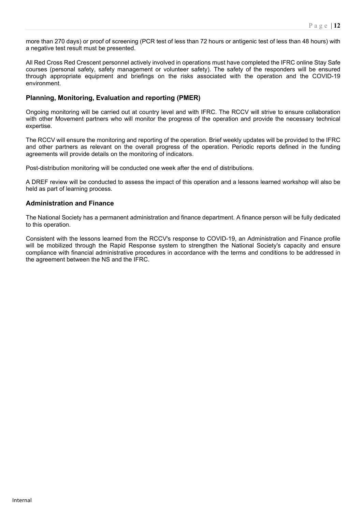more than 270 days) or proof of screening (PCR test of less than 72 hours or antigenic test of less than 48 hours) with a negative test result must be presented.

All Red Cross Red Crescent personnel actively involved in operations must have completed the IFRC online Stay Safe courses (personal safety, safety management or volunteer safety). The safety of the responders will be ensured through appropriate equipment and briefings on the risks associated with the operation and the COVID-19 environment.

### **Planning, Monitoring, Evaluation and reporting (PMER)**

Ongoing monitoring will be carried out at country level and with IFRC. The RCCV will strive to ensure collaboration with other Movement partners who will monitor the progress of the operation and provide the necessary technical expertise.

The RCCV will ensure the monitoring and reporting of the operation. Brief weekly updates will be provided to the IFRC and other partners as relevant on the overall progress of the operation. Periodic reports defined in the funding agreements will provide details on the monitoring of indicators.

Post-distribution monitoring will be conducted one week after the end of distributions.

A DREF review will be conducted to assess the impact of this operation and a lessons learned workshop will also be held as part of learning process.

#### **Administration and Finance**

The National Society has a permanent administration and finance department. A finance person will be fully dedicated to this operation.

Consistent with the lessons learned from the RCCV's response to COVID-19, an Administration and Finance profile will be mobilized through the Rapid Response system to strengthen the National Society's capacity and ensure compliance with financial administrative procedures in accordance with the terms and conditions to be addressed in the agreement between the NS and the IFRC.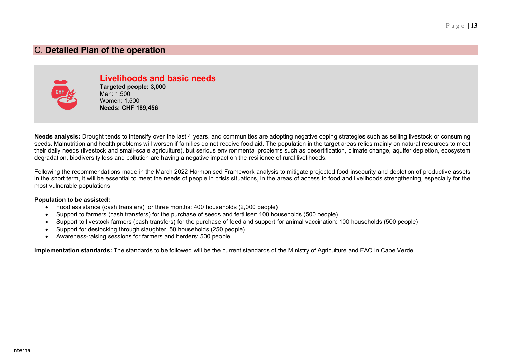### C. **Detailed Plan of the operation**



**Livelihoods and basic needs Targeted people: 3,000** Men: 1,500 Women: 1,500 **Needs: CHF 189,456**

**Needs analysis:** Drought tends to intensify over the last 4 years, and communities are adopting negative coping strategies such as selling livestock or consuming seeds. Malnutrition and health problems will worsen if families do not receive food aid. The population in the target areas relies mainly on natural resources to meet their daily needs (livestock and small-scale agriculture), but serious environmental problems such as desertification, climate change, aquifer depletion, ecosystem degradation, biodiversity loss and pollution are having a negative impact on the resilience of rural livelihoods.

Following the recommendations made in the March 2022 Harmonised Framework analysis to mitigate projected food insecurity and depletion of productive assets in the short term, it will be essential to meet the needs of people in crisis situations, in the areas of access to food and livelihoods strengthening, especially for the most vulnerable populations.

#### **Population to be assisted:**

- Food assistance (cash transfers) for three months: 400 households (2,000 people)
- Support to farmers (cash transfers) for the purchase of seeds and fertiliser: 100 households (500 people)
- Support to livestock farmers (cash transfers) for the purchase of feed and support for animal vaccination: 100 households (500 people)
- Support for destocking through slaughter: 50 households (250 people)
- Awareness-raising sessions for farmers and herders: 500 people

**Implementation standards:** The standards to be followed will be the current standards of the Ministry of Agriculture and FAO in Cape Verde.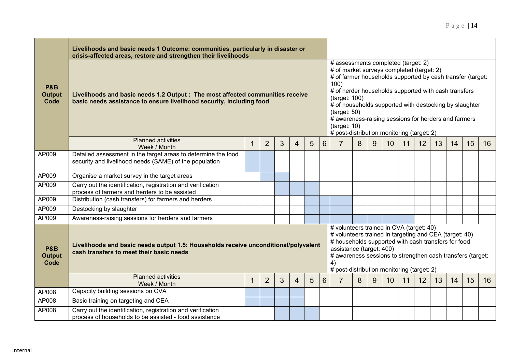|                                         | Livelihoods and basic needs 1 Outcome: communities, particularly in disaster or<br>crisis-affected areas, restore and strengthen their livelihoods                                                                                                                                                                                                                                                                                         |                                                                                                                                                                                                                                                                                                                                                                                                                                 |                |   |   |    |    |    |    |    |    |    |  |  |  |  |  |
|-----------------------------------------|--------------------------------------------------------------------------------------------------------------------------------------------------------------------------------------------------------------------------------------------------------------------------------------------------------------------------------------------------------------------------------------------------------------------------------------------|---------------------------------------------------------------------------------------------------------------------------------------------------------------------------------------------------------------------------------------------------------------------------------------------------------------------------------------------------------------------------------------------------------------------------------|----------------|---|---|----|----|----|----|----|----|----|--|--|--|--|--|
| <b>P&amp;B</b><br><b>Output</b><br>Code | Livelihoods and basic needs 1.2 Output : The most affected communities receive<br>basic needs assistance to ensure livelihood security, including food                                                                                                                                                                                                                                                                                     | # assessments completed (target: 2)<br># of market surveys completed (target: 2)<br># of farmer households supported by cash transfer (target:<br>100)<br># of herder households supported with cash transfers<br>(target: 100)<br># of households supported with destocking by slaughter<br>(target: 50)<br># awareness-raising sessions for herders and farmers<br>(target: 10)<br># post-distribution monitoring (target: 2) |                |   |   |    |    |    |    |    |    |    |  |  |  |  |  |
|                                         | <b>Planned activities</b><br>Week / Month                                                                                                                                                                                                                                                                                                                                                                                                  | $6\phantom{1}$                                                                                                                                                                                                                                                                                                                                                                                                                  | $\overline{7}$ | 8 | 9 | 10 | 11 | 12 | 13 | 14 | 15 | 16 |  |  |  |  |  |
| AP009                                   | Detailed assessment in the target areas to determine the food<br>security and livelihood needs (SAME) of the population                                                                                                                                                                                                                                                                                                                    |                                                                                                                                                                                                                                                                                                                                                                                                                                 |                |   |   |    |    |    |    |    |    |    |  |  |  |  |  |
| AP009                                   | Organise a market survey in the target areas                                                                                                                                                                                                                                                                                                                                                                                               |                                                                                                                                                                                                                                                                                                                                                                                                                                 |                |   |   |    |    |    |    |    |    |    |  |  |  |  |  |
| AP009                                   | Carry out the identification, registration and verification<br>process of farmers and herders to be assisted                                                                                                                                                                                                                                                                                                                               |                                                                                                                                                                                                                                                                                                                                                                                                                                 |                |   |   |    |    |    |    |    |    |    |  |  |  |  |  |
| AP009                                   | Distribution (cash transfers) for farmers and herders                                                                                                                                                                                                                                                                                                                                                                                      |                                                                                                                                                                                                                                                                                                                                                                                                                                 |                |   |   |    |    |    |    |    |    |    |  |  |  |  |  |
| AP009                                   | Destocking by slaughter                                                                                                                                                                                                                                                                                                                                                                                                                    |                                                                                                                                                                                                                                                                                                                                                                                                                                 |                |   |   |    |    |    |    |    |    |    |  |  |  |  |  |
| AP009                                   | Awareness-raising sessions for herders and farmers                                                                                                                                                                                                                                                                                                                                                                                         |                                                                                                                                                                                                                                                                                                                                                                                                                                 |                |   |   |    |    |    |    |    |    |    |  |  |  |  |  |
| <b>P&amp;B</b><br><b>Output</b><br>Code | # volunteers trained in CVA (target: 40)<br># volunteers trained in targeting and CEA (target: 40)<br># households supported with cash transfers for food<br>Livelihoods and basic needs output 1.5: Households receive unconditional/polyvalent<br>assistance (target: 400)<br>cash transfers to meet their basic needs<br># awareness sessions to strengthen cash transfers (target:<br>4)<br># post-distribution monitoring (target: 2) |                                                                                                                                                                                                                                                                                                                                                                                                                                 |                |   |   |    |    |    |    |    |    |    |  |  |  |  |  |
|                                         | <b>Planned activities</b><br>Week / Month                                                                                                                                                                                                                                                                                                                                                                                                  | $6\phantom{1}$                                                                                                                                                                                                                                                                                                                                                                                                                  |                | 8 | 9 | 10 | 11 | 12 | 13 | 14 | 15 | 16 |  |  |  |  |  |
| AP008                                   | Capacity building sessions on CVA                                                                                                                                                                                                                                                                                                                                                                                                          |                                                                                                                                                                                                                                                                                                                                                                                                                                 |                |   |   |    |    |    |    |    |    |    |  |  |  |  |  |
| AP008                                   | Basic training on targeting and CEA                                                                                                                                                                                                                                                                                                                                                                                                        |                                                                                                                                                                                                                                                                                                                                                                                                                                 |                |   |   |    |    |    |    |    |    |    |  |  |  |  |  |
| AP008                                   | Carry out the identification, registration and verification<br>process of households to be assisted - food assistance                                                                                                                                                                                                                                                                                                                      |                                                                                                                                                                                                                                                                                                                                                                                                                                 |                |   |   |    |    |    |    |    |    |    |  |  |  |  |  |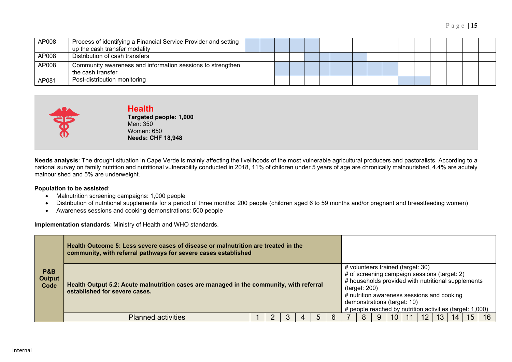| AP008 | Process of identifying a Financial Service Provider and setting<br>up the cash transfer modality |  |  |  |  |  |  |  |  |
|-------|--------------------------------------------------------------------------------------------------|--|--|--|--|--|--|--|--|
| AP008 | Distribution of cash transfers                                                                   |  |  |  |  |  |  |  |  |
| AP008 | Community awareness and information sessions to strengthen<br>the cash transfer                  |  |  |  |  |  |  |  |  |
| AP081 | Post-distribution monitoring                                                                     |  |  |  |  |  |  |  |  |



### **Health**

**Targeted people: 1,000** Men: 350 Women: 650 **Needs: CHF 18,948**

**Needs analysis**: The drought situation in Cape Verde is mainly affecting the livelihoods of the most vulnerable agricultural producers and pastoralists. According to a national survey on family nutrition and nutritional vulnerability conducted in 2018, 11% of children under 5 years of age are chronically malnourished, 4.4% are acutely malnourished and 5% are underweight.

#### **Population to be assisted**:

- Malnutrition screening campaigns: 1,000 people
- Distribution of nutritional supplements for a period of three months: 200 people (children aged 6 to 59 months and/or pregnant and breastfeeding women)
- Awareness sessions and cooking demonstrations: 500 people

**Implementation standards**: Ministry of Health and WHO standards.

|                                         | Health Outcome 5: Less severe cases of disease or malnutrition are treated in the<br>community, with referral pathways for severe cases established |  |  |   |               |                                                                                                                                                                                                                                                                                  |                 |    |    |    |    |
|-----------------------------------------|-----------------------------------------------------------------------------------------------------------------------------------------------------|--|--|---|---------------|----------------------------------------------------------------------------------------------------------------------------------------------------------------------------------------------------------------------------------------------------------------------------------|-----------------|----|----|----|----|
| <b>P&amp;B</b><br><b>Output</b><br>Code | Health Output 5.2: Acute malnutrition cases are managed in the community, with referral<br>established for severe cases.                            |  |  |   | (target: 200) | # volunteers trained (target: 30)<br># of screening campaign sessions (target: 2)<br># households provided with nutritional supplements<br># nutrition awareness sessions and cooking<br>demonstrations (target: 10)<br># people reached by nutrition activities (target: 1,000) |                 |    |    |    |    |
|                                         | <b>Planned activities</b>                                                                                                                           |  |  | 6 |               | 10                                                                                                                                                                                                                                                                               | 12 <sup>2</sup> | 13 | 14 | 15 | 16 |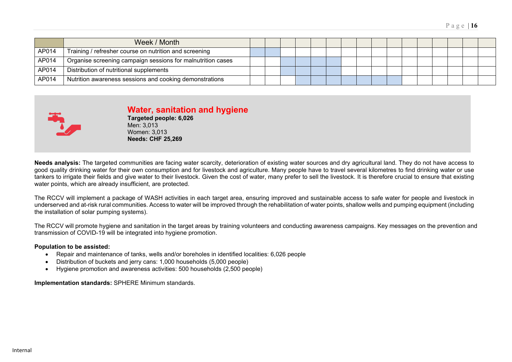|       | Week / Month                                                |  |  |  |  |  |  |  |  |
|-------|-------------------------------------------------------------|--|--|--|--|--|--|--|--|
| AP014 | Training / refresher course on nutrition and screening      |  |  |  |  |  |  |  |  |
| AP014 | Organise screening campaign sessions for malnutrition cases |  |  |  |  |  |  |  |  |
| AP014 | Distribution of nutritional supplements                     |  |  |  |  |  |  |  |  |
| AP014 | Nutrition awareness sessions and cooking demonstrations     |  |  |  |  |  |  |  |  |



## **Water, sanitation and hygiene**

**Targeted people: 6,026** Men: 3,013 Women: 3,013 **Needs: CHF 25,269**

**Needs analysis:** The targeted communities are facing water scarcity, deterioration of existing water sources and dry agricultural land. They do not have access to good quality drinking water for their own consumption and for livestock and agriculture. Many people have to travel several kilometres to find drinking water or use tankers to irrigate their fields and give water to their livestock. Given the cost of water, many prefer to sell the livestock. It is therefore crucial to ensure that existing water points, which are already insufficient, are protected.

The RCCV will implement a package of WASH activities in each target area, ensuring improved and sustainable access to safe water for people and livestock in underserved and at-risk rural communities. Access to water will be improved through the rehabilitation of water points, shallow wells and pumping equipment (including the installation of solar pumping systems).

The RCCV will promote hygiene and sanitation in the target areas by training volunteers and conducting awareness campaigns. Key messages on the prevention and transmission of COVID-19 will be integrated into hygiene promotion.

#### **Population to be assisted:**

- Repair and maintenance of tanks, wells and/or boreholes in identified localities: 6,026 people
- Distribution of buckets and jerry cans: 1,000 households (5,000 people)
- Hygiene promotion and awareness activities: 500 households (2,500 people)

**Implementation standards:** SPHERE Minimum standards.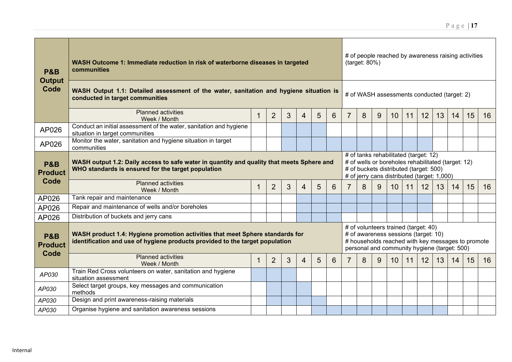| <b>P&amp;B</b><br><b>Output</b>          | WASH Outcome 1: Immediate reduction in risk of waterborne diseases in targeted<br>communities                                                                 |   |                |   |   |                 |   |                | (target: 80%) |                                                                                                                                                                                      |                 |                                                                              |    |    | # of people reached by awareness raising activities                                               |    |    |  |  |
|------------------------------------------|---------------------------------------------------------------------------------------------------------------------------------------------------------------|---|----------------|---|---|-----------------|---|----------------|---------------|--------------------------------------------------------------------------------------------------------------------------------------------------------------------------------------|-----------------|------------------------------------------------------------------------------|----|----|---------------------------------------------------------------------------------------------------|----|----|--|--|
| Code                                     | WASH Output 1.1: Detailed assessment of the water, sanitation and hygiene situation is<br>conducted in target communities                                     |   |                |   |   |                 |   |                |               | # of WASH assessments conducted (target: 2)                                                                                                                                          |                 |                                                                              |    |    |                                                                                                   |    |    |  |  |
|                                          | <b>Planned activities</b><br>Week / Month                                                                                                                     | 1 | $\overline{2}$ | 3 | 4 | 5               | 6 | $\overline{7}$ | 8             | 9                                                                                                                                                                                    | 10 <sup>°</sup> | 11                                                                           | 12 | 13 | 14                                                                                                | 15 | 16 |  |  |
| AP026                                    | Conduct an initial assessment of the water, sanitation and hygiene<br>situation in target communities                                                         |   |                |   |   |                 |   |                |               |                                                                                                                                                                                      |                 |                                                                              |    |    |                                                                                                   |    |    |  |  |
| AP026                                    | Monitor the water, sanitation and hygiene situation in target<br>communities                                                                                  |   |                |   |   |                 |   |                |               |                                                                                                                                                                                      |                 |                                                                              |    |    |                                                                                                   |    |    |  |  |
| <b>P&amp;B</b><br><b>Product</b>         | WASH output 1.2: Daily access to safe water in quantity and quality that meets Sphere and<br>WHO standards is ensured for the target population               |   |                |   |   |                 |   |                |               | # of tanks rehabilitated (target: 12)<br># of wells or boreholes rehabilitated (target: 12)<br># of buckets distributed (target: 500)<br># of jerry cans distributed (target: 1,000) |                 |                                                                              |    |    |                                                                                                   |    |    |  |  |
| Code                                     | <b>Planned activities</b><br>Week / Month                                                                                                                     | 1 | $\overline{2}$ | 3 | 4 | $5\overline{)}$ | 6 | $\overline{7}$ | 8             | 9                                                                                                                                                                                    | 10 <sup>°</sup> | 11                                                                           | 12 | 13 | 14                                                                                                | 15 | 16 |  |  |
| AP026                                    | Tank repair and maintenance                                                                                                                                   |   |                |   |   |                 |   |                |               |                                                                                                                                                                                      |                 |                                                                              |    |    |                                                                                                   |    |    |  |  |
| AP026                                    | Repair and maintenance of wells and/or boreholes                                                                                                              |   |                |   |   |                 |   |                |               |                                                                                                                                                                                      |                 |                                                                              |    |    |                                                                                                   |    |    |  |  |
| AP026                                    | Distribution of buckets and jerry cans                                                                                                                        |   |                |   |   |                 |   |                |               |                                                                                                                                                                                      |                 |                                                                              |    |    |                                                                                                   |    |    |  |  |
| <b>P&amp;B</b><br><b>Product</b><br>Code | WASH product 1.4: Hygiene promotion activities that meet Sphere standards for<br>identification and use of hygiene products provided to the target population |   |                |   |   |                 |   |                |               |                                                                                                                                                                                      |                 | # of volunteers trained (target: 40)<br># of awareness sessions (target: 10) |    |    | # households reached with key messages to promote<br>personal and community hygiene (target: 500) |    |    |  |  |
|                                          | <b>Planned activities</b><br>Week / Month                                                                                                                     | 1 | $\overline{2}$ | 3 | 4 | 5               | 6 | 7              | 8             | 9                                                                                                                                                                                    | 10 <sup>°</sup> | 11                                                                           | 12 | 13 | 14                                                                                                | 15 | 16 |  |  |
| AP030                                    | Train Red Cross volunteers on water, sanitation and hygiene<br>situation assessment                                                                           |   |                |   |   |                 |   |                |               |                                                                                                                                                                                      |                 |                                                                              |    |    |                                                                                                   |    |    |  |  |
| AP030                                    | Select target groups, key messages and communication<br>methods                                                                                               |   |                |   |   |                 |   |                |               |                                                                                                                                                                                      |                 |                                                                              |    |    |                                                                                                   |    |    |  |  |
| AP030                                    | Design and print awareness-raising materials                                                                                                                  |   |                |   |   |                 |   |                |               |                                                                                                                                                                                      |                 |                                                                              |    |    |                                                                                                   |    |    |  |  |
| AP030                                    | Organise hygiene and sanitation awareness sessions                                                                                                            |   |                |   |   |                 |   |                |               |                                                                                                                                                                                      |                 |                                                                              |    |    |                                                                                                   |    |    |  |  |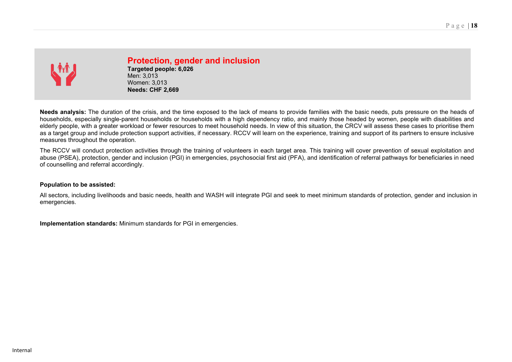

# **Protection, gender and inclusion**

**Targeted people: 6,026** Men: 3,013 Women: 3,013 **Needs: CHF 2,669**

**Needs analysis:** The duration of the crisis, and the time exposed to the lack of means to provide families with the basic needs, puts pressure on the heads of households, especially single-parent households or households with a high dependency ratio, and mainly those headed by women, people with disabilities and elderly people, with a greater workload or fewer resources to meet household needs. In view of this situation, the CRCV will assess these cases to prioritise them as a target group and include protection support activities, if necessary. RCCV will learn on the experience, training and support of its partners to ensure inclusive measures throughout the operation.

The RCCV will conduct protection activities through the training of volunteers in each target area. This training will cover prevention of sexual exploitation and abuse (PSEA), protection, gender and inclusion (PGI) in emergencies, psychosocial first aid (PFA), and identification of referral pathways for beneficiaries in need of counselling and referral accordingly.

#### **Population to be assisted:**

All sectors, including livelihoods and basic needs, health and WASH will integrate PGI and seek to meet minimum standards of protection, gender and inclusion in emergencies.

**Implementation standards:** Minimum standards for PGI in emergencies.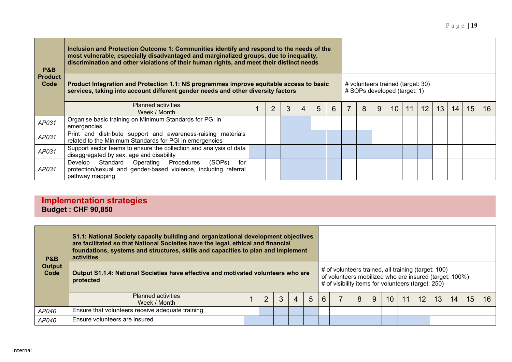| P&B                    | Inclusion and Protection Outcome 1: Communities identify and respond to the needs of the<br>most vulnerable, especially disadvantaged and marginalized groups, due to inequality,<br>discrimination and other violations of their human rights, and meet their distinct needs |  |  |   |   |   |   |  |   |                                                                   |    |    |                 |    |    |    |    |  |
|------------------------|-------------------------------------------------------------------------------------------------------------------------------------------------------------------------------------------------------------------------------------------------------------------------------|--|--|---|---|---|---|--|---|-------------------------------------------------------------------|----|----|-----------------|----|----|----|----|--|
| <b>Product</b><br>Code | Product Integration and Protection 1.1: NS programmes improve equitable access to basic<br>services, taking into account different gender needs and other diversity factors                                                                                                   |  |  |   |   |   |   |  |   | # volunteers trained (target: 30)<br># SOPs developed (target: 1) |    |    |                 |    |    |    |    |  |
|                        | <b>Planned activities</b><br>Week / Month                                                                                                                                                                                                                                     |  |  | 3 | 4 | 5 | 6 |  | 8 | 9                                                                 | 10 | 11 | 12 <sup>2</sup> | 13 | 14 | 15 | 16 |  |
| AP031                  | Organise basic training on Minimum Standards for PGI in<br>emergencies                                                                                                                                                                                                        |  |  |   |   |   |   |  |   |                                                                   |    |    |                 |    |    |    |    |  |
| AP031                  | Print and distribute support and awareness-raising materials<br>related to the Minimum Standards for PGI in emergencies                                                                                                                                                       |  |  |   |   |   |   |  |   |                                                                   |    |    |                 |    |    |    |    |  |
| AP031                  | Support sector teams to ensure the collection and analysis of data<br>disaggregated by sex, age and disability                                                                                                                                                                |  |  |   |   |   |   |  |   |                                                                   |    |    |                 |    |    |    |    |  |
| AP031                  | (SOPs)<br>Develop<br>Standard Operating<br>Procedures<br>for<br>protection/sexual and gender-based violence, including referral<br>pathway mapping                                                                                                                            |  |  |   |   |   |   |  |   |                                                                   |    |    |                 |    |    |    |    |  |

## **Implementation strategies Budget : CHF 90,850**

| <b>P&amp;B</b>        | S1.1: National Society capacity building and organizational development objectives<br>are facilitated so that National Societies have the legal, ethical and financial<br>foundations, systems and structures, skills and capacities to plan and implement<br>activities |  |                |  |   |   |   |                                                                                                                                                                     |   |   |    |    |    |    |    |    |    |
|-----------------------|--------------------------------------------------------------------------------------------------------------------------------------------------------------------------------------------------------------------------------------------------------------------------|--|----------------|--|---|---|---|---------------------------------------------------------------------------------------------------------------------------------------------------------------------|---|---|----|----|----|----|----|----|----|
| <b>Output</b><br>Code | Output S1.1.4: National Societies have effective and motivated volunteers who are<br>protected                                                                                                                                                                           |  |                |  |   |   |   | # of volunteers trained, all training (target: 100)<br>of volunteers mobilized who are insured (target: 100%)<br># of visibility items for volunteers (target: 250) |   |   |    |    |    |    |    |    |    |
|                       | <b>Planned activities</b><br>Week / Month                                                                                                                                                                                                                                |  | $\overline{2}$ |  | 4 | 5 | 6 |                                                                                                                                                                     | 8 | 9 | 10 | 11 | 12 | 13 | 14 | 15 | 16 |
| AP040                 | Ensure that volunteers receive adequate training                                                                                                                                                                                                                         |  |                |  |   |   |   |                                                                                                                                                                     |   |   |    |    |    |    |    |    |    |
| AP040                 | Ensure volunteers are insured                                                                                                                                                                                                                                            |  |                |  |   |   |   |                                                                                                                                                                     |   |   |    |    |    |    |    |    |    |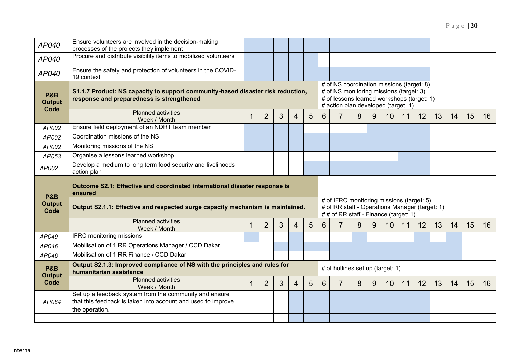#### *AP040* Ensure volunteers are involved in the decision-making processes of the projects they implement *AP040* Procure and distribute visibility items to mobilized volunteers *AP040* Ensure the safety and protection of volunteers in the COVID-19 context **P&B Output Code S1.1.7 Product: NS capacity to support community-based disaster risk reduction, response and preparedness is strengthened** # of NS coordination missions (target: 8) # of NS monitoring missions (target: 3) # of lessons learned workshops (target: 1) # action plan developed (target: 1) **Planned activities**<br>Week / Month Week / Month 1 2 3 4 5 6 7 8 9 10 11 12 13 14 15 16 *AP002* Ensure field deployment of an NDRT team member *AP002* Coordination missions of the NS *AP002* Monitoring missions of the NS *AP053* Organise a lessons learned workshop *AP002* Develop a medium to long term food security and livelihoods action plan **P&B Output Code Outcome S2.1: Effective and coordinated international disaster response is ensured Output S2.1.1: Effective and respected surge capacity mechanism is maintained.** # of IFRC monitoring missions (target: 5) # of RR staff - Operations Manager (target: 1) *#* # of RR staff - Finance (target: 1) Planned activities<br>Week / Month Week / Month 1 2 3 4 5 6 7 8 9 10 11 12 13 14 15 16 *AP049* IFRC monitoring missions *AP046* Mobilisation of 1 RR Operations Manager / CCD Dakar *AP046* Mobilisation of 1 RR Finance / CCD Dakar **P&B Output Code Output S2.1.3: Improved compliance of NS with the principles and rules for**  # of hotlines set up (target: 1) Planned activities<br>Week / Month Week / Month 1 2 3 4 5 6 7 8 9 10 11 12 13 14 15 16 *AP084* Set up a feedback system from the community and ensure that this feedback is taken into account and used to improve the operation.

Page | **20**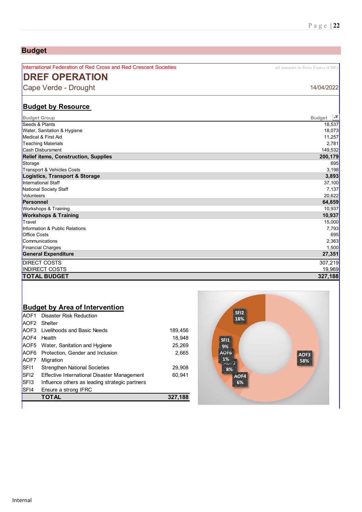#### International Federation of Red Cross and Red Crescent Societies *all amounts in Swiss Francs (CHF)* **DREF OPERATION** Cape Verde - Drought 14/04/2022 **Budget by Resource**   $\overline{ }$ **Budget Group Budget** Seeds & Plants 18,537 Water, Sanitation & Hygiene 18,073<br>Medical & First Aid مستخدم المستخدم المستخدم المستخدم المستخدم المستخدم المستخدم المستخدم المستخدم المستخدم ال<br>Medical & First Aid Medical & First Aid Teaching Materials 2,781 Cash Disbursment 149,532 **Relief items, Construction, Supplies** Storage 695 Transport & Vehicles Costs 3,198 **Logistics, Transport & Storage 3,893** International Staff National Society Staff 7,137 Volunteers 20,622 **Personnel 64,859** workshops & Training 10,937 **Workshops & Training 10,937** Travel 15,000 Information & Public Relations 7,793 Office Costs 695 Communications 2,363 Financial Charges 1,500 **General Expenditure 27,351** EXECT COSTS 307,219<br>INDIRECT COSTS 307,219 INDIRECT COSTS **TOTAL BUDGET 327,188**

### **Budget by Area of Intervention**

**Budget**

|                  | <b>TOTAL</b>                                   | 327,188 |
|------------------|------------------------------------------------|---------|
| SF <sub>14</sub> | Ensure a strong IFRC                           |         |
| SF <sub>13</sub> | Influence others as leading strategic partners |         |
| SFI <sub>2</sub> | Effective International Disaster Management    | 60.941  |
| SF <sub>11</sub> | <b>Strengthen National Societies</b>           | 29.908  |
| AOF7             | Migration                                      |         |
|                  | AOF6 Protection, Gender and Inclusion          | 2.665   |
|                  | AOF5 Water, Sanitation and Hygiene             | 25.269  |
| AOF4             | Health                                         | 18.948  |
|                  | <b>AOF3</b> Livelihoods and Basic Needs        | 189,456 |
|                  | AOF2 Shelter                                   |         |
| IAOF1            | Disaster Risk Reduction                        |         |